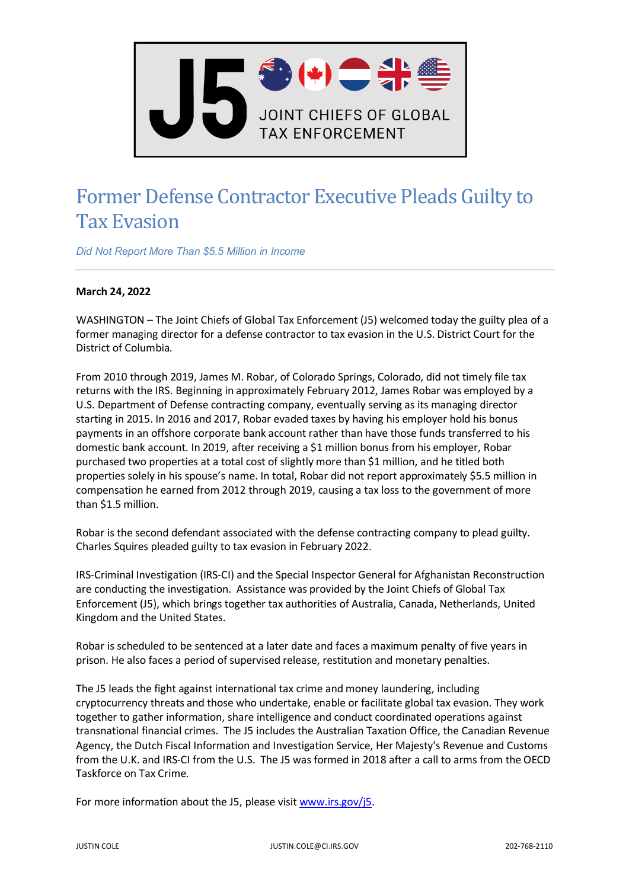

## Former Defense Contractor Executive Pleads Guilty to Tax Evasion

*Did Not Report More Than \$5.5 Million in Income*

## **March 24, 2022**

WASHINGTON – The Joint Chiefs of Global Tax Enforcement (J5) welcomed today the guilty plea of a former managing director for a defense contractor to tax evasion in the U.S. District Court for the District of Columbia.

From 2010 through 2019, James M. Robar, of Colorado Springs, Colorado, did not timely file tax returns with the IRS. Beginning in approximately February 2012, James Robar was employed by a U.S. Department of Defense contracting company, eventually serving as its managing director starting in 2015. In 2016 and 2017, Robar evaded taxes by having his employer hold his bonus payments in an offshore corporate bank account rather than have those funds transferred to his domestic bank account. In 2019, after receiving a \$1 million bonus from his employer, Robar purchased two properties at a total cost of slightly more than \$1 million, and he titled both properties solely in his spouse's name. In total, Robar did not report approximately \$5.5 million in compensation he earned from 2012 through 2019, causing a tax loss to the government of more than \$1.5 million.

Robar is the second defendant associated with the defense contracting company to plead guilty. Charles Squires pleaded guilty to tax evasion in February 2022.

IRS-Criminal Investigation (IRS-CI) and the Special Inspector General for Afghanistan Reconstruction are conducting the investigation. Assistance was provided by the Joint Chiefs of Global Tax Enforcement (J5), which brings together tax authorities of Australia, Canada, Netherlands, United Kingdom and the United States.

Robar is scheduled to be sentenced at a later date and faces a maximum penalty of five years in prison. He also faces a period of supervised release, restitution and monetary penalties.

The J5 leads the fight against international tax crime and money laundering, including cryptocurrency threats and those who undertake, enable or facilitate global tax evasion. They work together to gather information, share intelligence and conduct coordinated operations against transnational financial crimes. The J5 includes the Australian Taxation Office, the Canadian Revenue Agency, the Dutch Fiscal Information and Investigation Service, Her Majesty's Revenue and Customs from the U.K. and IRS-CI from the U.S. The J5 was formed in 2018 after a call to arms from the OECD Taskforce on Tax Crime.

For more information about the J5, please visi[t www.irs.gov/j5.](http://www.irs.gov/j5)